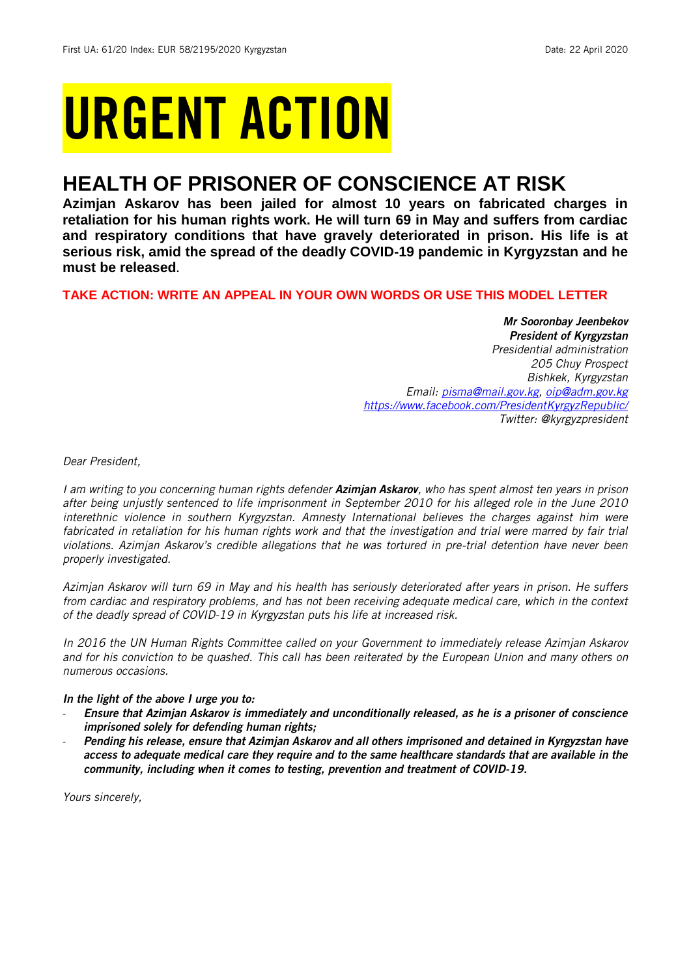# URGENT ACTION

## **HEALTH OF PRISONER OF CONSCIENCE AT RISK**

**Azimjan Askarov has been jailed for almost 10 years on fabricated charges in retaliation for his human rights work. He will turn 69 in May and suffers from cardiac and respiratory conditions that have gravely deteriorated in prison. His life is at serious risk, amid the spread of the deadly COVID-19 pandemic in Kyrgyzstan and he must be released.** 

## **TAKE ACTION: WRITE AN APPEAL IN YOUR OWN WORDS OR USE THIS MODEL LETTER**

*Mr Sooronbay Jeenbekov President of Kyrgyzstan Presidential administration 205 Chuy Prospect Bishkek, Kyrgyzstan Email: [pisma@mail.gov.kg,](mailto:pisma@mail.gov.kg) [oip@adm.gov.kg](mailto:oip@adm.gov.kg) <https://www.facebook.com/PresidentKyrgyzRepublic/> Twitter: @kyrgyzpresident*

*Dear President,*

*I am writing to you concerning human rights defender Azimjan Askarov, who has spent almost ten years in prison after being unjustly sentenced to life imprisonment in September 2010 for his alleged role in the June 2010 interethnic violence in southern Kyrgyzstan. Amnesty International believes the charges against him were fabricated in retaliation for his human rights work and that the investigation and trial were marred by fair trial violations. Azimjan Askarov's credible allegations that he was tortured in pre-trial detention have never been properly investigated.* 

*Azimjan Askarov will turn 69 in May and his health has seriously deteriorated after years in prison. He suffers from cardiac and respiratory problems, and has not been receiving adequate medical care, which in the context of the deadly spread of COVID-19 in Kyrgyzstan puts his life at increased risk.*

*In 2016 the UN Human Rights Committee called on your Government to immediately release Azimjan Askarov and for his conviction to be quashed. This call has been reiterated by the European Union and many others on numerous occasions.*

## *In the light of the above I urge you to:*

- *Ensure that Azimjan Askarov is immediately and unconditionally released, as he is a prisoner of conscience imprisoned solely for defending human rights;*
- *Pending his release, ensure that Azimjan Askarov and all others imprisoned and detained in Kyrgyzstan have access to adequate medical care they require and to the same healthcare standards that are available in the community, including when it comes to testing, prevention and treatment of COVID-19.*

*Yours sincerely,*